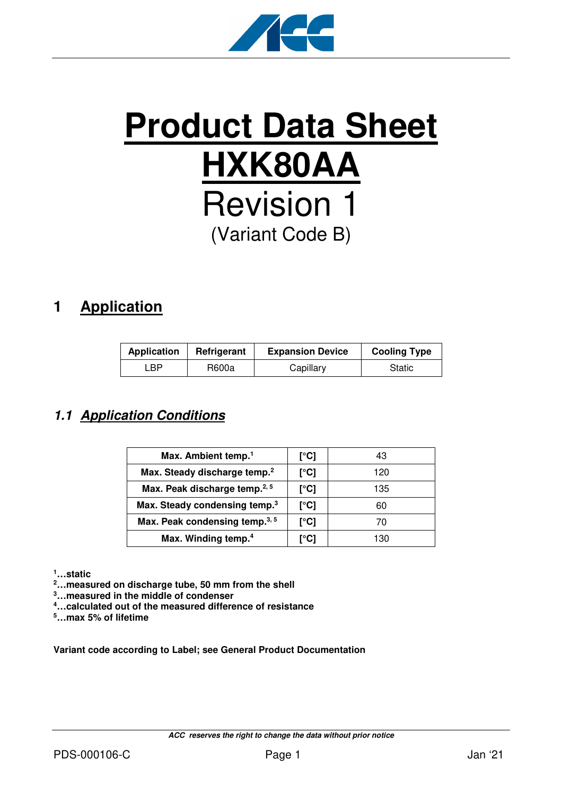

# **Product Data Sheet HXK80AA** Revision 1 (Variant Code B)

# **1 Application**

| <b>Application</b> | Refrigerant | <b>Expansion Device</b> | <b>Cooling Type</b> |
|--------------------|-------------|-------------------------|---------------------|
| ∟BP.               | R600a       | Capillary               | Static              |

## **1.1 Application Conditions**

| Max. Ambient temp. <sup>1</sup>           | [°C] | 43  |
|-------------------------------------------|------|-----|
| Max. Steady discharge temp. <sup>2</sup>  | [°C] | 120 |
| Max. Peak discharge temp. <sup>2, 5</sup> | [°C] | 135 |
| Max. Steady condensing temp. <sup>3</sup> | [°C] | 60  |
| Max. Peak condensing temp. <sup>3,5</sup> | [°C] | 70  |
| Max. Winding temp. <sup>4</sup>           | r°C1 | 130 |

**<sup>1</sup>…static** 

**<sup>2</sup>…measured on discharge tube, 50 mm from the shell** 

**<sup>3</sup>…measured in the middle of condenser** 

**<sup>4</sup>…calculated out of the measured difference of resistance** 

**<sup>5</sup>…max 5% of lifetime** 

**Variant code according to Label; see General Product Documentation**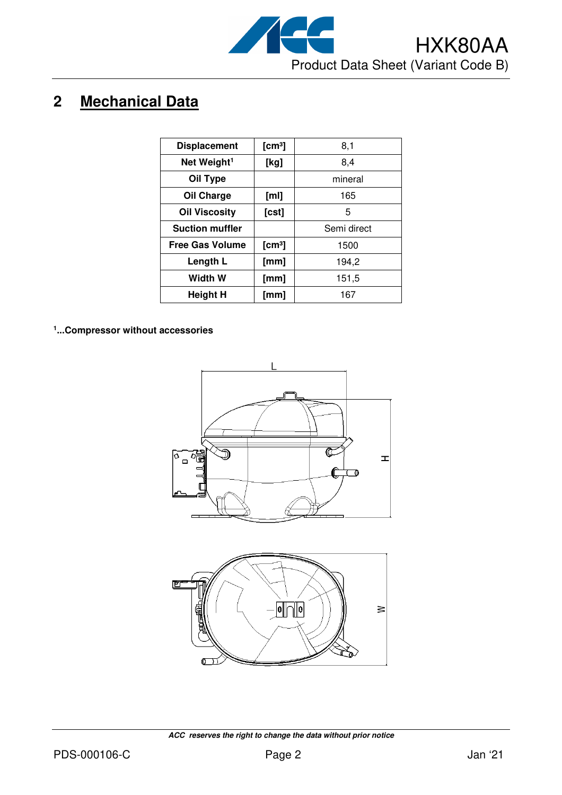

# **2 Mechanical Data**

| <b>Displacement</b>     | [cm <sup>3</sup> ] | 8,1         |
|-------------------------|--------------------|-------------|
| Net Weight <sup>1</sup> | [kg]               | 8,4         |
| Oil Type                |                    | mineral     |
| Oil Charge              | [ml]               | 165         |
| <b>Oil Viscosity</b>    | [ <b>c st</b> ]    | 5           |
| <b>Suction muffler</b>  |                    | Semi direct |
| <b>Free Gas Volume</b>  | [cm <sup>3</sup> ] | 1500        |
| Length L                | [mm]               | 194,2       |
| Width W                 | [mm]               | 151,5       |
| Height H                | [mm]               | 167         |
|                         |                    |             |

**1 ...Compressor without accessories**



б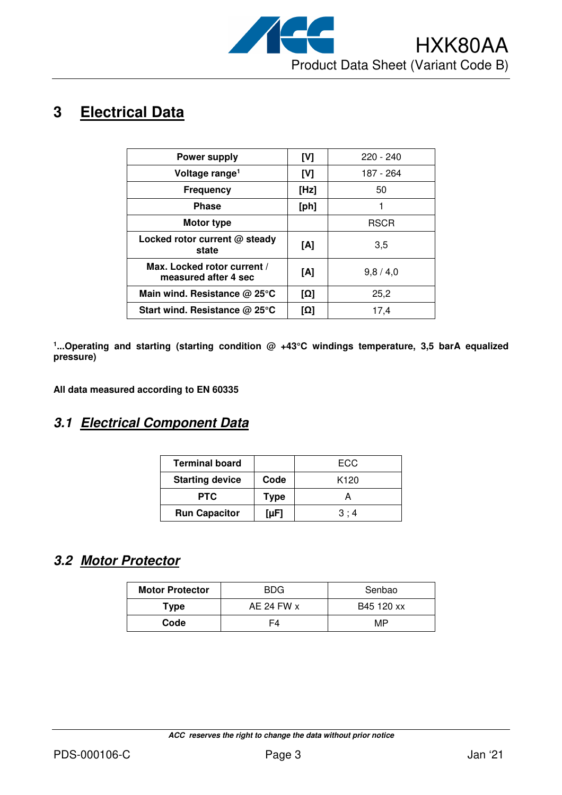

# **3 Electrical Data**

| <b>Power supply</b>                                 | [V]  | $220 - 240$ |
|-----------------------------------------------------|------|-------------|
| Voltage range <sup>1</sup>                          | [V]  | 187 - 264   |
| <b>Frequency</b>                                    | [Hz] | 50          |
| <b>Phase</b>                                        | [ph] |             |
| Motor type                                          |      | <b>RSCR</b> |
| Locked rotor current @ steady<br>state              | [A]  | 3.5         |
| Max. Locked rotor current /<br>measured after 4 sec | [A]  | 9,8/4,0     |
| Main wind. Resistance @ 25°C                        | [Ω]  | 25,2        |
| Start wind. Resistance @ 25°C                       | [Ω]  | 17,4        |

<sup>1</sup>...Operating and starting (starting condition @ +43°C windings temperature, 3,5 barA equalized **pressure)** 

**All data measured according to EN 60335** 

#### **3.1 Electrical Component Data**

| <b>Terminal board</b>  |             | ECC              |
|------------------------|-------------|------------------|
| <b>Starting device</b> | Code        | K <sub>120</sub> |
| <b>PTC</b>             | <b>Type</b> |                  |
| <b>Run Capacitor</b>   | [ $\mu$ F]  | 3:4              |

### **3.2 Motor Protector**

| <b>Motor Protector</b> | <b>BDG</b> | Senbao     |  |
|------------------------|------------|------------|--|
| Type                   | AE 24 FW x | B45 120 xx |  |
| Code                   |            | MP         |  |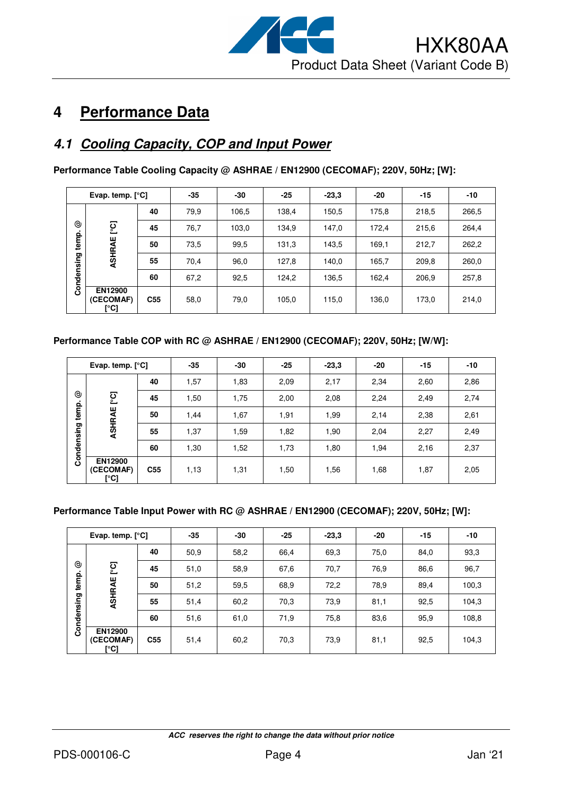

# **4 Performance Data**

### **4.1 Cooling Capacity, COP and Input Power**

**Performance Table Cooling Capacity @ ASHRAE / EN12900 (CECOMAF); 220V, 50Hz; [W]:** 

|          | Evap. temp. $[°C]$           |                 | $-35$ | -30   | $-25$ | $-23.3$ | $-20$ | $-15$ | -10   |
|----------|------------------------------|-----------------|-------|-------|-------|---------|-------|-------|-------|
|          |                              | 40              | 79,9  | 106,5 | 138,4 | 150,5   | 175,8 | 218,5 | 266,5 |
| ල        | ု့ငျ                         | 45              | 76,7  | 103,0 | 134,9 | 147,0   | 172,4 | 215,6 | 264,4 |
| temp.    | ASHRAE                       | 50              | 73,5  | 99,5  | 131,3 | 143,5   | 169,1 | 212,7 | 262,2 |
| ndensing |                              | 55              | 70,4  | 96,0  | 127,8 | 140,0   | 165,7 | 209,8 | 260,0 |
|          |                              | 60              | 67,2  | 92,5  | 124,2 | 136,5   | 162,4 | 206,9 | 257,8 |
| ပ္ပိ     | EN12900<br>(CECOMAF)<br>[°C] | C <sub>55</sub> | 58,0  | 79,0  | 105,0 | 115,0   | 136,0 | 173,0 | 214,0 |

#### **Performance Table COP with RC @ ASHRAE / EN12900 (CECOMAF); 220V, 50Hz; [W/W]:**

| Evap. temp. $[°C]$ |                                     | $-35$           | -30  | $-25$ | $-23,3$ | $-20$ | $-15$ | $-10$ |      |
|--------------------|-------------------------------------|-----------------|------|-------|---------|-------|-------|-------|------|
|                    |                                     | 40              | 1,57 | 1,83  | 2,09    | 2,17  | 2,34  | 2,60  | 2,86 |
| ල                  | ုင္င                                | 45              | 1,50 | 1,75  | 2,00    | 2,08  | 2,24  | 2,49  | 2,74 |
| temp.              | ASHRAE                              | 50              | 1,44 | 1,67  | 1,91    | 1,99  | 2,14  | 2,38  | 2,61 |
|                    |                                     | 55              | 1,37 | 1,59  | 1,82    | 1,90  | 2,04  | 2,27  | 2,49 |
| Condensing         |                                     | 60              | 1,30 | 1,52  | 1,73    | 1,80  | 1,94  | 2,16  | 2,37 |
|                    | <b>EN12900</b><br>(CECOMAF)<br>[°C] | C <sub>55</sub> | 1,13 | 1,31  | 1,50    | 1,56  | 1,68  | 1,87  | 2,05 |

#### **Performance Table Input Power with RC @ ASHRAE / EN12900 (CECOMAF); 220V, 50Hz; [W]:**

|            | Evap. temp. $[°C]$                  |                 | $-35$ | -30  | $-25$ | $-23,3$ | $-20$ | $-15$ | -10   |
|------------|-------------------------------------|-----------------|-------|------|-------|---------|-------|-------|-------|
|            |                                     | 40              | 50,9  | 58,2 | 66,4  | 69,3    | 75,0  | 84,0  | 93,3  |
| ☺          | ုတ္                                 | 45              | 51,0  | 58,9 | 67,6  | 70,7    | 76,9  | 86,6  | 96,7  |
| temp.      | ASHRAE                              | 50              | 51,2  | 59,5 | 68,9  | 72,2    | 78,9  | 89,4  | 100,3 |
|            |                                     | 55              | 51,4  | 60,2 | 70,3  | 73,9    | 81,1  | 92,5  | 104,3 |
| Condensing |                                     | 60              | 51,6  | 61,0 | 71,9  | 75,8    | 83,6  | 95,9  | 108,8 |
|            | <b>EN12900</b><br>(CECOMAF)<br>[°C] | C <sub>55</sub> | 51,4  | 60,2 | 70,3  | 73,9    | 81,1  | 92,5  | 104,3 |